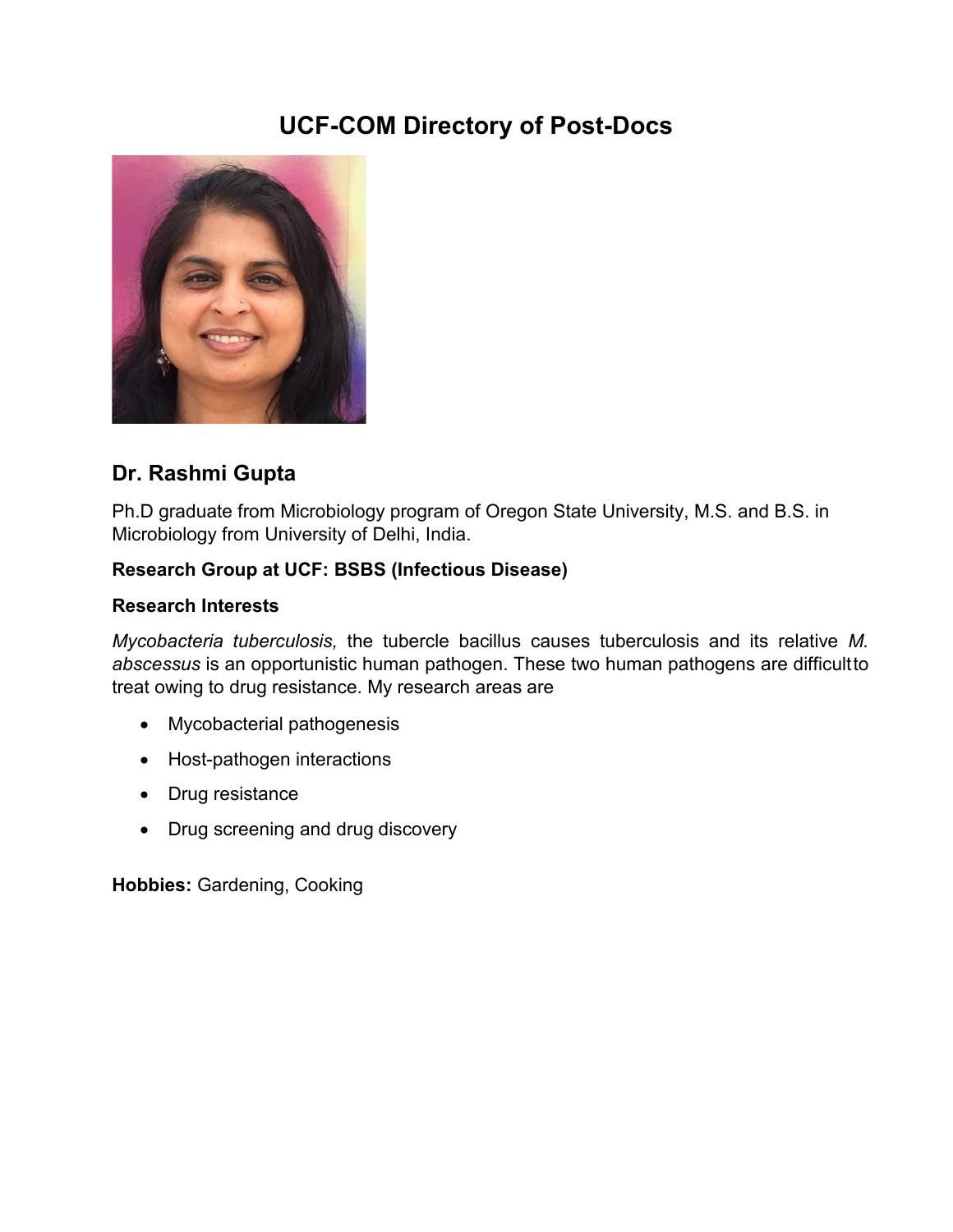# **UCF-COM Directory of Post-Docs**



# **Dr. Rashmi Gupta**

Ph.D graduate from Microbiology program of Oregon State University, M.S. and B.S. in Microbiology from University of Delhi, India.

### **Research Group at UCF: BSBS (Infectious Disease)**

#### **Research Interests**

*Mycobacteria tuberculosis,* the tubercle bacillus causes tuberculosis and its relative *M. abscessus* is an opportunistic human pathogen. These two human pathogens are difficultto treat owing to drug resistance. My research areas are

- Mycobacterial pathogenesis
- Host-pathogen interactions
- Drug resistance
- Drug screening and drug discovery

**Hobbies:** Gardening, Cooking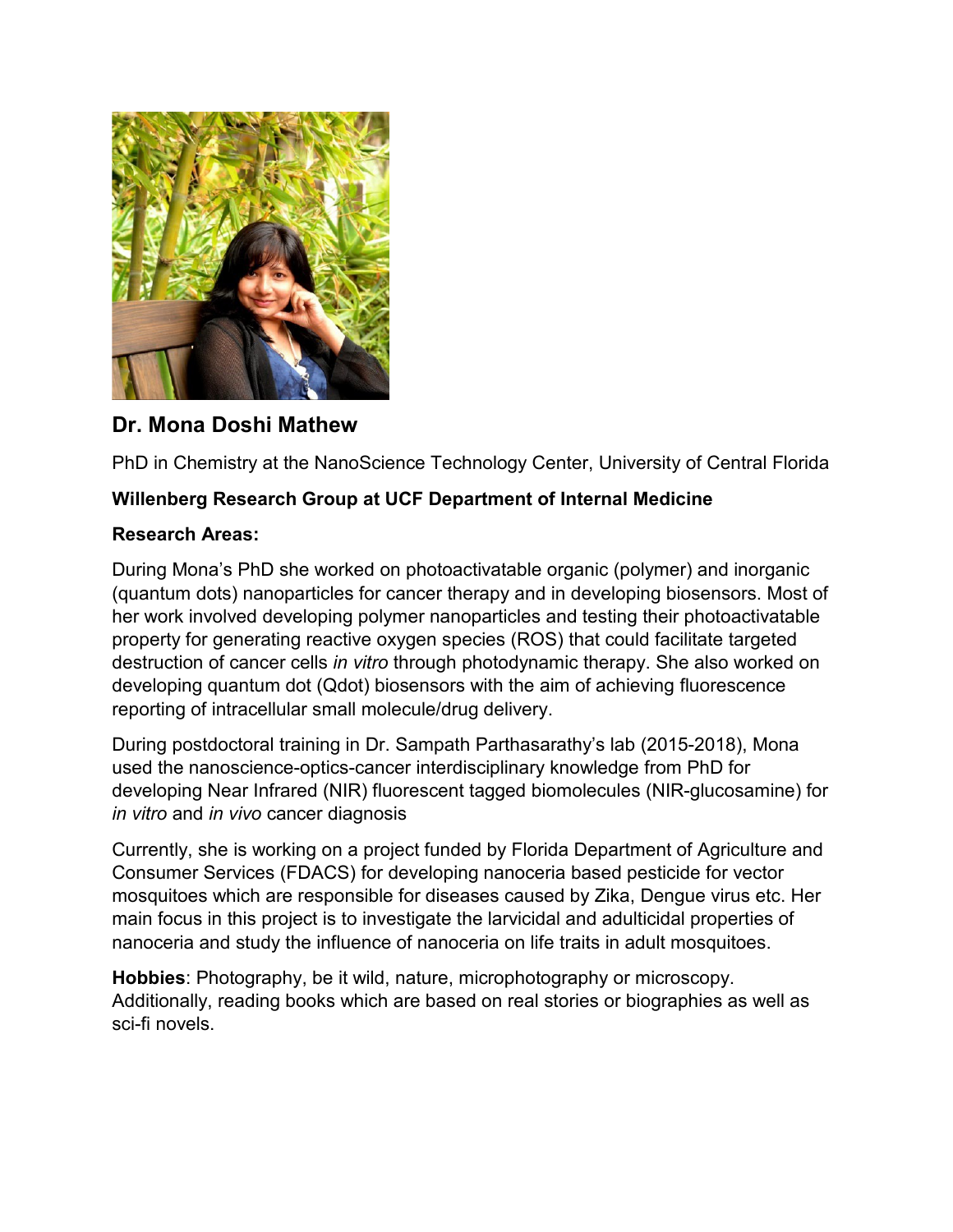

# **Dr. Mona Doshi Mathew**

PhD in Chemistry at the NanoScience Technology Center, University of Central Florida

#### **Willenberg Research Group at UCF Department of Internal Medicine**

#### **Research Areas:**

During Mona's PhD she worked on photoactivatable organic (polymer) and inorganic (quantum dots) nanoparticles for cancer therapy and in developing biosensors. Most of her work involved developing polymer nanoparticles and testing their photoactivatable property for generating reactive oxygen species (ROS) that could facilitate targeted destruction of cancer cells *in vitro* through photodynamic therapy. She also worked on developing quantum dot (Qdot) biosensors with the aim of achieving fluorescence reporting of intracellular small molecule/drug delivery.

During postdoctoral training in Dr. Sampath Parthasarathy's lab (2015-2018), Mona used the nanoscience-optics-cancer interdisciplinary knowledge from PhD for developing Near Infrared (NIR) fluorescent tagged biomolecules (NIR-glucosamine) for *in vitro* and *in vivo* cancer diagnosis

Currently, she is working on a project funded by Florida Department of Agriculture and Consumer Services (FDACS) for developing nanoceria based pesticide for vector mosquitoes which are responsible for diseases caused by Zika, Dengue virus etc. Her main focus in this project is to investigate the larvicidal and adulticidal properties of nanoceria and study the influence of nanoceria on life traits in adult mosquitoes.

**Hobbies**: Photography, be it wild, nature, microphotography or microscopy. Additionally, reading books which are based on real stories or biographies as well as sci-fi novels.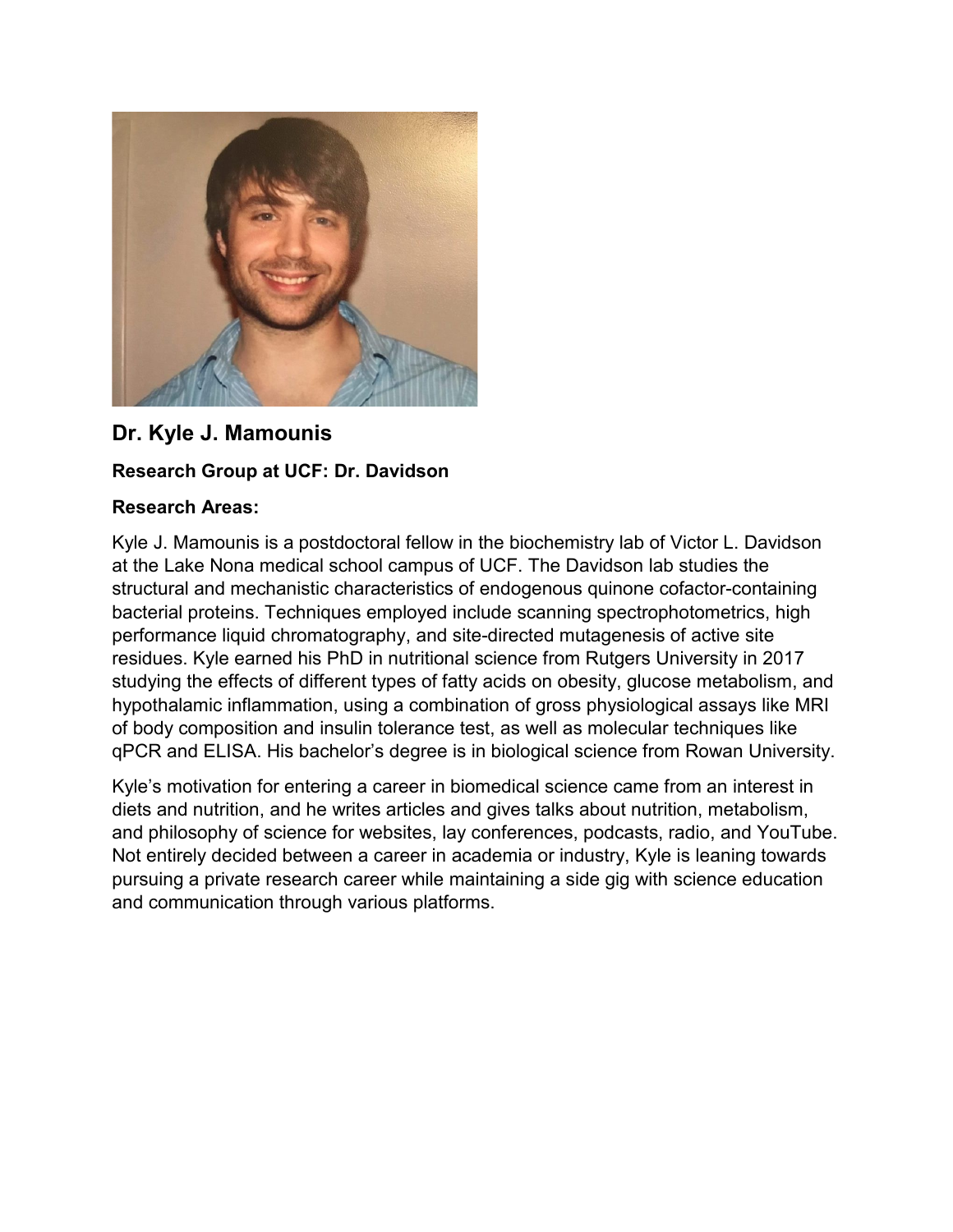

## **Dr. Kyle J. Mamounis**

### **Research Group at UCF: Dr. Davidson**

#### **Research Areas:**

Kyle J. Mamounis is a postdoctoral fellow in the biochemistry lab of Victor L. Davidson at the Lake Nona medical school campus of UCF. The Davidson lab studies the structural and mechanistic characteristics of endogenous quinone cofactor-containing bacterial proteins. Techniques employed include scanning spectrophotometrics, high performance liquid chromatography, and site-directed mutagenesis of active site residues. Kyle earned his PhD in nutritional science from Rutgers University in 2017 studying the effects of different types of fatty acids on obesity, glucose metabolism, and hypothalamic inflammation, using a combination of gross physiological assays like MRI of body composition and insulin tolerance test, as well as molecular techniques like qPCR and ELISA. His bachelor's degree is in biological science from Rowan University.

Kyle's motivation for entering a career in biomedical science came from an interest in diets and nutrition, and he writes articles and gives talks about nutrition, metabolism, and philosophy of science for websites, lay conferences, podcasts, radio, and YouTube. Not entirely decided between a career in academia or industry, Kyle is leaning towards pursuing a private research career while maintaining a side gig with science education and communication through various platforms.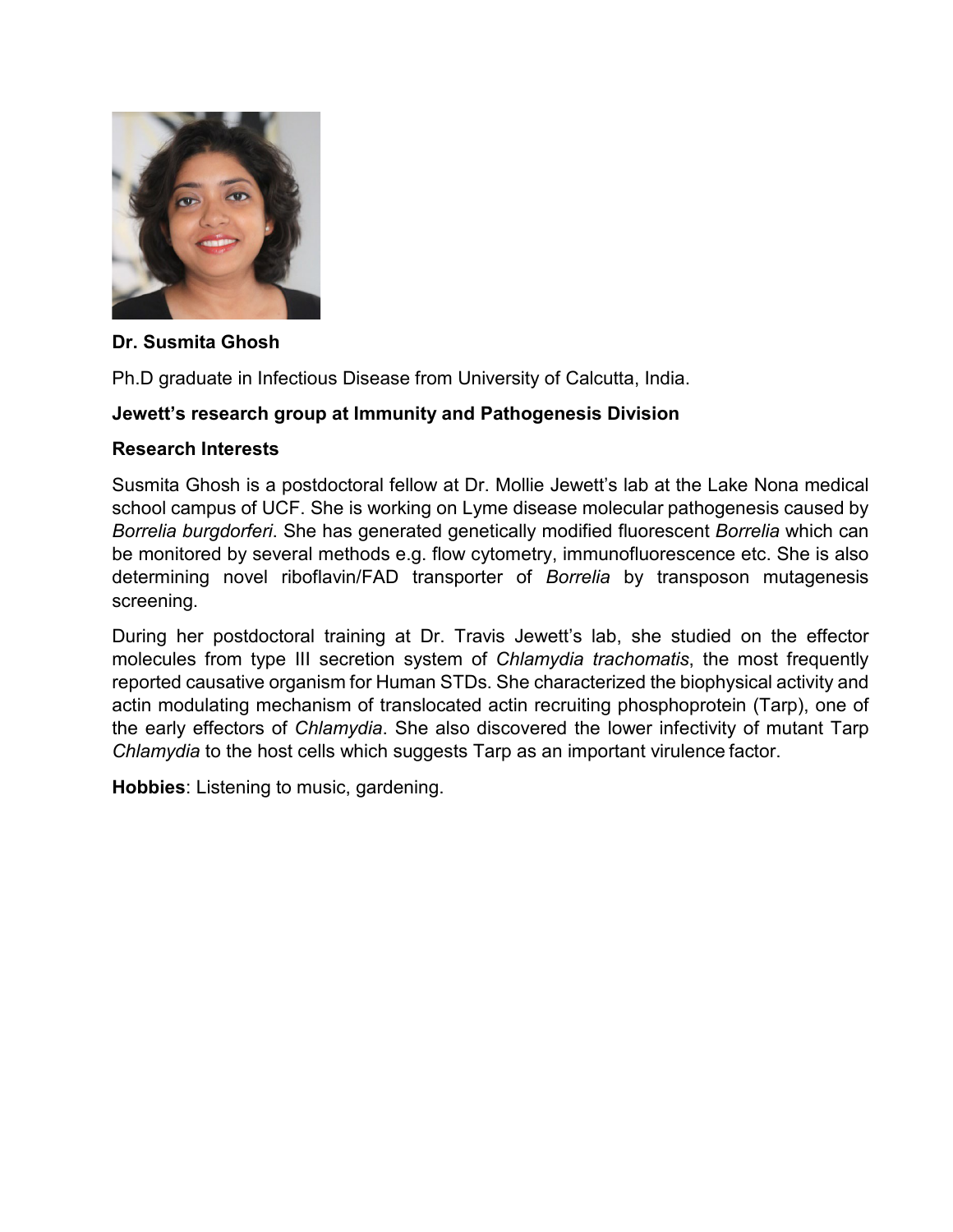

#### **Dr. Susmita Ghosh**

Ph.D graduate in Infectious Disease from University of Calcutta, India.

### **Jewett's research group at Immunity and Pathogenesis Division**

#### **Research Interests**

Susmita Ghosh is a postdoctoral fellow at Dr. Mollie Jewett's lab at the Lake Nona medical school campus of UCF. She is working on Lyme disease molecular pathogenesis caused by *Borrelia burgdorferi*. She has generated genetically modified fluorescent *Borrelia* which can be monitored by several methods e.g. flow cytometry, immunofluorescence etc. She is also determining novel riboflavin/FAD transporter of *Borrelia* by transposon mutagenesis screening.

During her postdoctoral training at Dr. Travis Jewett's lab, she studied on the effector molecules from type III secretion system of *Chlamydia trachomatis*, the most frequently reported causative organism for Human STDs. She characterized the biophysical activity and actin modulating mechanism of translocated actin recruiting phosphoprotein (Tarp), one of the early effectors of *Chlamydia*. She also discovered the lower infectivity of mutant Tarp *Chlamydia* to the host cells which suggests Tarp as an important virulence factor.

**Hobbies**: Listening to music, gardening.